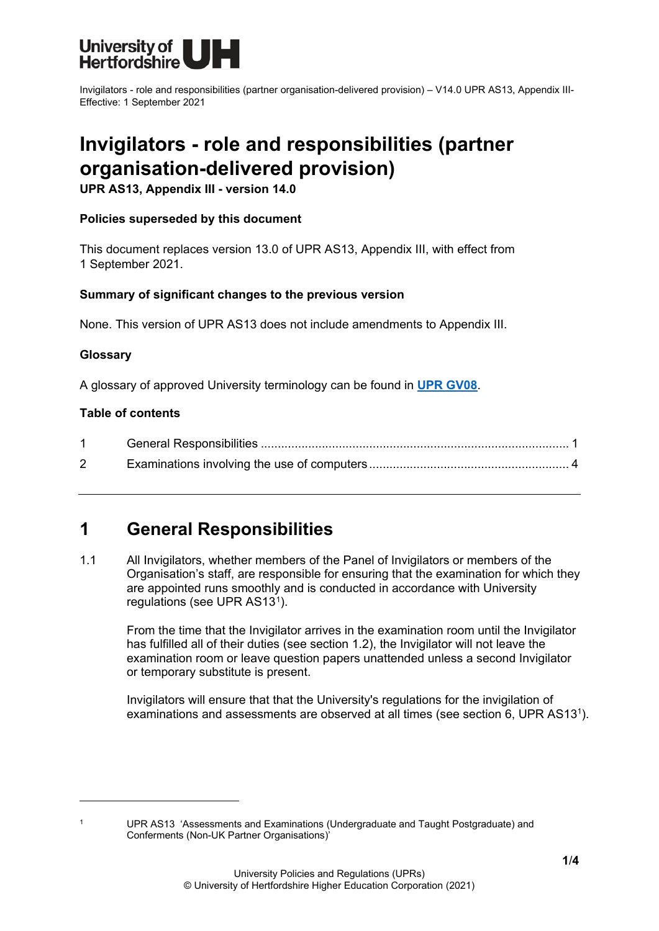

Invigilators - role and responsibilities (partner organisation-delivered provision) – V14.0 UPR AS13, Appendix III-Effective: 1 September 2021

# **Invigilators - role and responsibilities (partner organisation-delivered provision)**

**UPR AS13, Appendix III - version 14.0**

## **Policies superseded by this document**

This document replaces version 13.0 of UPR AS13, Appendix III, with effect from 1 September 2021.

## **Summary of significant changes to the previous version**

None. This version of UPR AS13 does not include amendments to Appendix III.

### **Glossary**

A glossary of approved University terminology can be found in **[UPR GV08](https://www.herts.ac.uk/__data/assets/pdf_file/0020/233057/GV08-Glossary-of-Terminology.pdf)**.

### **Table of contents**

| $\overline{2}$ |  |
|----------------|--|

# <span id="page-0-0"></span>**1 General Responsibilities**

1.1 All Invigilators, whether members of the Panel of Invigilators or members of the Organisation's staff, are responsible for ensuring that the examination for which they are appointed runs smoothly and is conducted in accordance with University regulations (see UPR AS13[1\)](#page-0-1).

From the time that the Invigilator arrives in the examination room until the Invigilator has fulfilled all of their duties (see section 1.2), the Invigilator will not leave the examination room or leave question papers unattended unless a second Invigilator or temporary substitute is present.

Invigilators will ensure that that the University's regulations for the invigilation of examinations and assessments are observed at all times (see section 6, UPR AS131).

<span id="page-0-1"></span>

<sup>1</sup> UPR AS13 'Assessments and Examinations (Undergraduate and Taught Postgraduate) and Conferments (Non-UK Partner Organisations)'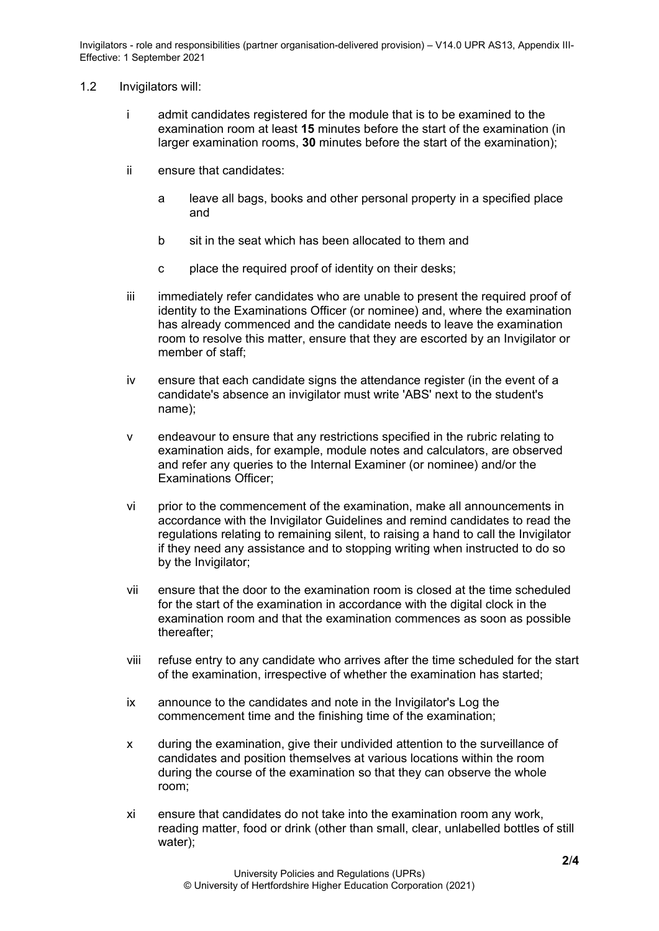Invigilators - role and responsibilities (partner organisation-delivered provision) – V14.0 UPR AS13, Appendix III-Effective: 1 September 2021

#### 1.2 Invigilators will:

- i admit candidates registered for the module that is to be examined to the examination room at least **15** minutes before the start of the examination (in larger examination rooms, **30** minutes before the start of the examination);
- ii ensure that candidates:
	- a leave all bags, books and other personal property in a specified place and
	- b sit in the seat which has been allocated to them and
	- c place the required proof of identity on their desks;
- iii immediately refer candidates who are unable to present the required proof of identity to the Examinations Officer (or nominee) and, where the examination has already commenced and the candidate needs to leave the examination room to resolve this matter, ensure that they are escorted by an Invigilator or member of staff;
- iv ensure that each candidate signs the attendance register (in the event of a candidate's absence an invigilator must write 'ABS' next to the student's name);
- v endeavour to ensure that any restrictions specified in the rubric relating to examination aids, for example, module notes and calculators, are observed and refer any queries to the Internal Examiner (or nominee) and/or the Examinations Officer;
- vi prior to the commencement of the examination, make all announcements in accordance with the Invigilator Guidelines and remind candidates to read the regulations relating to remaining silent, to raising a hand to call the Invigilator if they need any assistance and to stopping writing when instructed to do so by the Invigilator;
- vii ensure that the door to the examination room is closed at the time scheduled for the start of the examination in accordance with the digital clock in the examination room and that the examination commences as soon as possible thereafter;
- viii refuse entry to any candidate who arrives after the time scheduled for the start of the examination, irrespective of whether the examination has started;
- ix announce to the candidates and note in the Invigilator's Log the commencement time and the finishing time of the examination;
- x during the examination, give their undivided attention to the surveillance of candidates and position themselves at various locations within the room during the course of the examination so that they can observe the whole room;
- xi ensure that candidates do not take into the examination room any work, reading matter, food or drink (other than small, clear, unlabelled bottles of still water);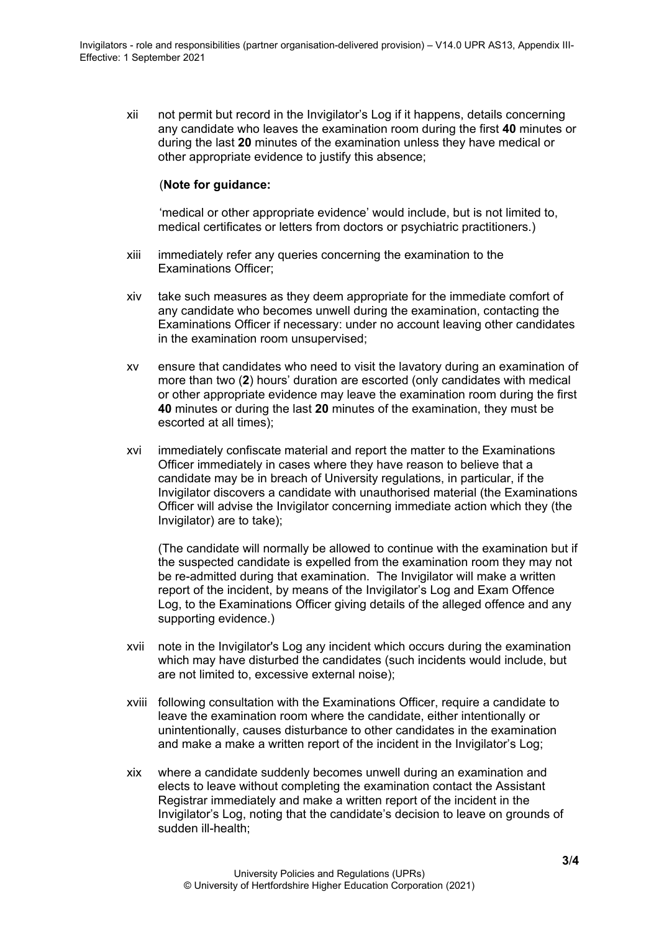xii not permit but record in the Invigilator's Log if it happens, details concerning any candidate who leaves the examination room during the first **40** minutes or during the last **20** minutes of the examination unless they have medical or other appropriate evidence to justify this absence;

### (**Note for guidance:**

'medical or other appropriate evidence' would include, but is not limited to, medical certificates or letters from doctors or psychiatric practitioners.)

- xiii immediately refer any queries concerning the examination to the Examinations Officer;
- xiv take such measures as they deem appropriate for the immediate comfort of any candidate who becomes unwell during the examination, contacting the Examinations Officer if necessary: under no account leaving other candidates in the examination room unsupervised;
- xv ensure that candidates who need to visit the lavatory during an examination of more than two (**2**) hours' duration are escorted (only candidates with medical or other appropriate evidence may leave the examination room during the first **40** minutes or during the last **20** minutes of the examination, they must be escorted at all times);
- xvi immediately confiscate material and report the matter to the Examinations Officer immediately in cases where they have reason to believe that a candidate may be in breach of University regulations, in particular, if the Invigilator discovers a candidate with unauthorised material (the Examinations Officer will advise the Invigilator concerning immediate action which they (the Invigilator) are to take);

(The candidate will normally be allowed to continue with the examination but if the suspected candidate is expelled from the examination room they may not be re-admitted during that examination. The Invigilator will make a written report of the incident, by means of the Invigilator's Log and Exam Offence Log, to the Examinations Officer giving details of the alleged offence and any supporting evidence.)

- xvii note in the Invigilator's Log any incident which occurs during the examination which may have disturbed the candidates (such incidents would include, but are not limited to, excessive external noise);
- xviii following consultation with the Examinations Officer, require a candidate to leave the examination room where the candidate, either intentionally or unintentionally, causes disturbance to other candidates in the examination and make a make a written report of the incident in the Invigilator's Log;
- xix where a candidate suddenly becomes unwell during an examination and elects to leave without completing the examination contact the Assistant Registrar immediately and make a written report of the incident in the Invigilator's Log, noting that the candidate's decision to leave on grounds of sudden ill-health;